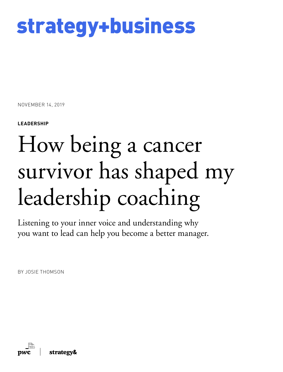

NOVEMBER 14, 2019

**LEADERSHIP**

# How being a cancer survivor has shaped my leadership coaching

Listening to your inner voice and understanding why you want to lead can help you become a better manager.

BY JOSIE THOMSON

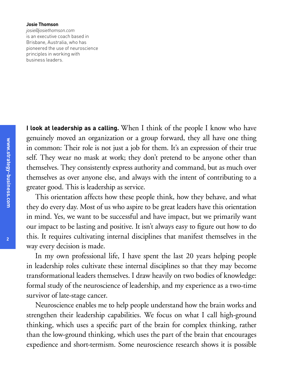#### **Josie Thomson**

*josie@josiethomson.com* is an executive coach based in Brisbane, Australia, who has pioneered the use of neuroscience principles in working with business leaders.

**I look at leadership as a calling.** When I think of the people I know who have genuinely moved an organization or a group forward, they all have one thing in common: Their role is not just a job for them. It's an expression of their true self. They wear no mask at work; they don't pretend to be anyone other than themselves. They consistently express authority and command, but as much over themselves as over anyone else, and always with the intent of contributing to a greater good. This is leadership as service.

This orientation affects how these people think, how they behave, and what they do every day. Most of us who aspire to be great leaders have this orientation in mind. Yes, we want to be successful and have impact, but we primarily want our impact to be lasting and positive. It isn't always easy to figure out how to do this. It requires cultivating internal disciplines that manifest themselves in the way every decision is made.

In my own professional life, I have spent the last 20 years helping people in leadership roles cultivate these internal disciplines so that they may become transformational leaders themselves. I draw heavily on two bodies of knowledge: formal study of the neuroscience of leadership, and my experience as a two-time survivor of late-stage cancer.

Neuroscience enables me to help people understand how the brain works and strengthen their leadership capabilities. We focus on what I call high-ground thinking, which uses a specific part of the brain for complex thinking, rather than the low-ground thinking, which uses the part of the brain that encourages expedience and short-termism. Some neuroscience research shows it is possible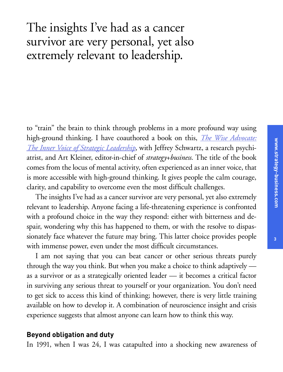# The insights I've had as a cancer survivor are very personal, yet also extremely relevant to leadership.

to "train" the brain to think through problems in a more profound way using high-ground thinking. I have coauthored a book on this, *[The Wise Advocate:](http://cup.columbia.edu/book/the-wise-advocate/9780231178044) [The Inner Voice of Strategic Leadership](http://cup.columbia.edu/book/the-wise-advocate/9780231178044)*, with Jeffrey Schwartz, a research psychiatrist, and Art Kleiner, editor-in-chief of *strategy*+*business*. The title of the book comes from the locus of mental activity, often experienced as an inner voice, that is more accessible with high-ground thinking. It gives people the calm courage, clarity, and capability to overcome even the most difficult challenges.

The insights I've had as a cancer survivor are very personal, yet also extremely relevant to leadership. Anyone facing a life-threatening experience is confronted with a profound choice in the way they respond: either with bitterness and despair, wondering why this has happened to them, or with the resolve to dispassionately face whatever the future may bring. This latter choice provides people with immense power, even under the most difficult circumstances.

I am not saying that you can beat cancer or other serious threats purely through the way you think. But when you make a choice to think adaptively as a survivor or as a strategically oriented leader — it becomes a critical factor in surviving any serious threat to yourself or your organization. You don't need to get sick to access this kind of thinking; however, there is very little training available on how to develop it. A combination of neuroscience insight and crisis experience suggests that almost anyone can learn how to think this way.

### **Beyond obligation and duty**

In 1991, when I was 24, I was catapulted into a shocking new awareness of

**3**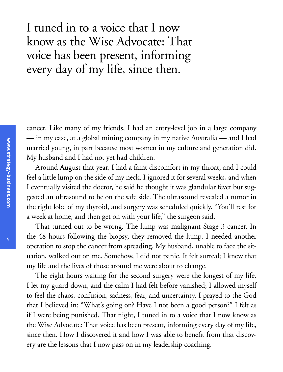I tuned in to a voice that I now know as the Wise Advocate: That voice has been present, informing every day of my life, since then.

cancer. Like many of my friends, I had an entry-level job in a large company — in my case, at a global mining company in my native Australia — and I had married young, in part because most women in my culture and generation did. My husband and I had not yet had children.

Around August that year, I had a faint discomfort in my throat, and I could feel a little lump on the side of my neck. I ignored it for several weeks, and when I eventually visited the doctor, he said he thought it was glandular fever but suggested an ultrasound to be on the safe side. The ultrasound revealed a tumor in the right lobe of my thyroid, and surgery was scheduled quickly. "You'll rest for a week at home, and then get on with your life," the surgeon said.

That turned out to be wrong. The lump was malignant Stage 3 cancer. In the 48 hours following the biopsy, they removed the lump. I needed another operation to stop the cancer from spreading. My husband, unable to face the situation, walked out on me. Somehow, I did not panic. It felt surreal; I knew that my life and the lives of those around me were about to change.

The eight hours waiting for the second surgery were the longest of my life. I let my guard down, and the calm I had felt before vanished; I allowed myself to feel the chaos, confusion, sadness, fear, and uncertainty. I prayed to the God that I believed in: "What's going on? Have I not been a good person?" I felt as if I were being punished. That night, I tuned in to a voice that I now know as the Wise Advocate: That voice has been present, informing every day of my life, since then. How I discovered it and how I was able to benefit from that discovery are the lessons that I now pass on in my leadership coaching.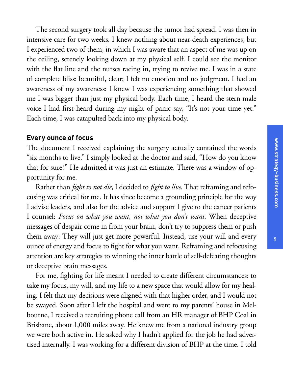The second surgery took all day because the tumor had spread. I was then in intensive care for two weeks. I knew nothing about near-death experiences, but I experienced two of them, in which I was aware that an aspect of me was up on the ceiling, serenely looking down at my physical self. I could see the monitor with the flat line and the nurses racing in, trying to revive me. I was in a state of complete bliss: beautiful, clear; I felt no emotion and no judgment. I had an awareness of my awareness: I knew I was experiencing something that showed me I was bigger than just my physical body. Each time, I heard the stern male voice I had first heard during my night of panic say, "It's not your time yet." Each time, I was catapulted back into my physical body.

#### **Every ounce of focus**

The document I received explaining the surgery actually contained the words "six months to live." I simply looked at the doctor and said, "How do you know that for sure?" He admitted it was just an estimate. There was a window of opportunity for me.

Rather than *fight to not die*, I decided to *fight to live*. That reframing and refocusing was critical for me. It has since become a grounding principle for the way I advise leaders, and also for the advice and support I give to the cancer patients I counsel: *Focus on what you want, not what you don't want*. When deceptive messages of despair come in from your brain, don't try to suppress them or push them away: They will just get more powerful. Instead, use your will and every ounce of energy and focus to fight for what you want. Reframing and refocusing attention are key strategies to winning the inner battle of self-defeating thoughts or deceptive brain messages.

For me, fighting for life meant I needed to create different circumstances: to take my focus, my will, and my life to a new space that would allow for my healing. I felt that my decisions were aligned with that higher order, and I would not be swayed. Soon after I left the hospital and went to my parents' house in Melbourne, I received a recruiting phone call from an HR manager of BHP Coal in Brisbane, about 1,000 miles away. He knew me from a national industry group we were both active in. He asked why I hadn't applied for the job he had advertised internally. I was working for a different division of BHP at the time. I told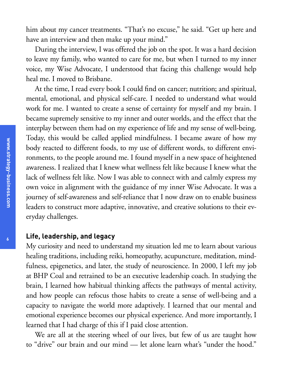him about my cancer treatments. "That's no excuse," he said. "Get up here and have an interview and then make up your mind."

During the interview, I was offered the job on the spot. It was a hard decision to leave my family, who wanted to care for me, but when I turned to my inner voice, my Wise Advocate, I understood that facing this challenge would help heal me. I moved to Brisbane.

At the time, I read every book I could find on cancer; nutrition; and spiritual, mental, emotional, and physical self-care. I needed to understand what would work for me. I wanted to create a sense of certainty for myself and my brain. I became supremely sensitive to my inner and outer worlds, and the effect that the interplay between them had on my experience of life and my sense of well-being. Today, this would be called applied mindfulness. I became aware of how my body reacted to different foods, to my use of different words, to different environments, to the people around me. I found myself in a new space of heightened awareness. I realized that I knew what wellness felt like because I knew what the lack of wellness felt like. Now I was able to connect with and calmly express my own voice in alignment with the guidance of my inner Wise Advocate. It was a journey of self-awareness and self-reliance that I now draw on to enable business leaders to construct more adaptive, innovative, and creative solutions to their everyday challenges.

#### **Life, leadership, and legacy**

My curiosity and need to understand my situation led me to learn about various healing traditions, including reiki, homeopathy, acupuncture, meditation, mindfulness, epigenetics, and later, the study of neuroscience. In 2000, I left my job at BHP Coal and retrained to be an executive leadership coach. In studying the brain, I learned how habitual thinking affects the pathways of mental activity, and how people can refocus those habits to create a sense of well-being and a capacity to navigate the world more adaptively. I learned that our mental and emotional experience becomes our physical experience. And more importantly, I learned that I had charge of this if I paid close attention.

We are all at the steering wheel of our lives, but few of us are taught how to "drive" our brain and our mind — let alone learn what's "under the hood."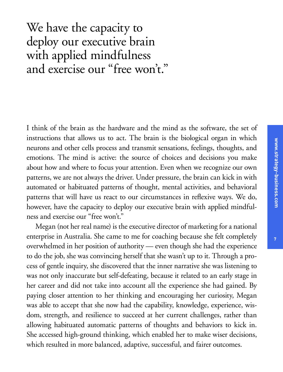# We have the capacity to deploy our executive brain with applied mindfulness and exercise our "free won't."

I think of the brain as the hardware and the mind as the software, the set of instructions that allows us to act. The brain is the biological organ in which neurons and other cells process and transmit sensations, feelings, thoughts, and emotions. The mind is active: the source of choices and decisions you make about how and where to focus your attention. Even when we recognize our own patterns, we are not always the driver. Under pressure, the brain can kick in with automated or habituated patterns of thought, mental activities, and behavioral patterns that will have us react to our circumstances in reflexive ways. We do, however, have the capacity to deploy our executive brain with applied mindfulness and exercise our "free won't."

Megan (not her real name) is the executive director of marketing for a national enterprise in Australia. She came to me for coaching because she felt completely overwhelmed in her position of authority — even though she had the experience to do the job, she was convincing herself that she wasn't up to it. Through a process of gentle inquiry, she discovered that the inner narrative she was listening to was not only inaccurate but self-defeating, because it related to an early stage in her career and did not take into account all the experience she had gained. By paying closer attention to her thinking and encouraging her curiosity, Megan was able to accept that she now had the capability, knowledge, experience, wisdom, strength, and resilience to succeed at her current challenges, rather than allowing habituated automatic patterns of thoughts and behaviors to kick in. She accessed high-ground thinking, which enabled her to make wiser decisions, which resulted in more balanced, adaptive, successful, and fairer outcomes.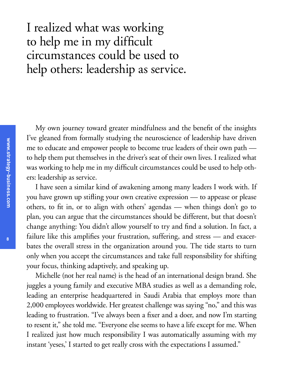## I realized what was working to help me in my difficult circumstances could be used to help others: leadership as service.

My own journey toward greater mindfulness and the benefit of the insights I've gleaned from formally studying the neuroscience of leadership have driven me to educate and empower people to become true leaders of their own path to help them put themselves in the driver's seat of their own lives. I realized what was working to help me in my difficult circumstances could be used to help others: leadership as service.

I have seen a similar kind of awakening among many leaders I work with. If you have grown up stifling your own creative expression — to appease or please others, to fit in, or to align with others' agendas — when things don't go to plan, you can argue that the circumstances should be different, but that doesn't change anything: You didn't allow yourself to try and find a solution. In fact, a failure like this amplifies your frustration, suffering, and stress — and exacerbates the overall stress in the organization around you. The tide starts to turn only when you accept the circumstances and take full responsibility for shifting your focus, thinking adaptively, and speaking up.

Michelle (not her real name) is the head of an international design brand. She juggles a young family and executive MBA studies as well as a demanding role, leading an enterprise headquartered in Saudi Arabia that employs more than 2,000 employees worldwide. Her greatest challenge was saying "no," and this was leading to frustration. "I've always been a fixer and a doer, and now I'm starting to resent it," she told me. "Everyone else seems to have a life except for me. When I realized just how much responsibility I was automatically assuming with my instant 'yeses,' I started to get really cross with the expectations I assumed."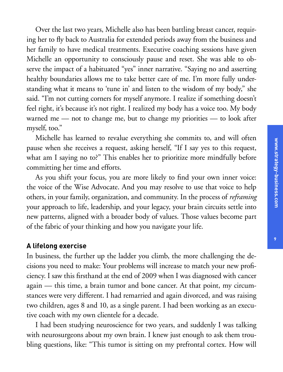Over the last two years, Michelle also has been battling breast cancer, requiring her to fly back to Australia for extended periods away from the business and her family to have medical treatments. Executive coaching sessions have given Michelle an opportunity to consciously pause and reset. She was able to observe the impact of a habituated "yes" inner narrative. "Saying no and asserting healthy boundaries allows me to take better care of me. I'm more fully understanding what it means to 'tune in' and listen to the wisdom of my body," she said. "I'm not cutting corners for myself anymore. I realize if something doesn't feel right, it's because it's not right. I realized my body has a voice too. My body warned me — not to change me, but to change my priorities — to look after myself, too."

Michelle has learned to revalue everything she commits to, and will often pause when she receives a request, asking herself, "If I say yes to this request, what am I saying no to?" This enables her to prioritize more mindfully before committing her time and efforts.

As you shift your focus, you are more likely to find your own inner voice: the voice of the Wise Advocate. And you may resolve to use that voice to help others, in your family, organization, and community. In the process of *reframing* your approach to life, leadership, and your legacy, your brain circuits settle into new patterns, aligned with a broader body of values. Those values become part of the fabric of your thinking and how you navigate your life.

### **A lifelong exercise**

In business, the further up the ladder you climb, the more challenging the decisions you need to make: Your problems will increase to match your new proficiency. I saw this firsthand at the end of 2009 when I was diagnosed with cancer again — this time, a brain tumor and bone cancer. At that point, my circumstances were very different. I had remarried and again divorced, and was raising two children, ages 8 and 10, as a single parent. I had been working as an executive coach with my own clientele for a decade.

I had been studying neuroscience for two years, and suddenly I was talking with neurosurgeons about my own brain. I knew just enough to ask them troubling questions, like: "This tumor is sitting on my prefrontal cortex. How will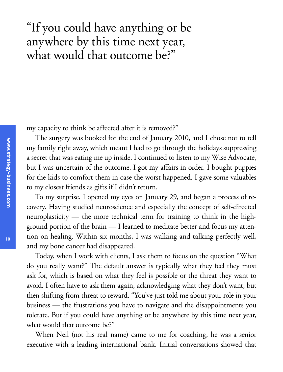## "If you could have anything or be anywhere by this time next year, what would that outcome be?"

my capacity to think be affected after it is removed?"

The surgery was booked for the end of January 2010, and I chose not to tell my family right away, which meant I had to go through the holidays suppressing a secret that was eating me up inside. I continued to listen to my Wise Advocate, but I was uncertain of the outcome. I got my affairs in order. I bought puppies for the kids to comfort them in case the worst happened. I gave some valuables to my closest friends as gifts if I didn't return.

To my surprise, I opened my eyes on January 29, and began a process of recovery. Having studied neuroscience and especially the concept of self-directed neuroplasticity — the more technical term for training to think in the highground portion of the brain — I learned to meditate better and focus my attention on healing. Within six months, I was walking and talking perfectly well, and my bone cancer had disappeared.

Today, when I work with clients, I ask them to focus on the question "What do you really want?" The default answer is typically what they feel they must ask for, which is based on what they feel is possible or the threat they want to avoid. I often have to ask them again, acknowledging what they don't want, but then shifting from threat to reward. "You've just told me about your role in your business — the frustrations you have to navigate and the disappointments you tolerate. But if you could have anything or be anywhere by this time next year, what would that outcome be?"

When Neil (not his real name) came to me for coaching, he was a senior executive with a leading international bank. Initial conversations showed that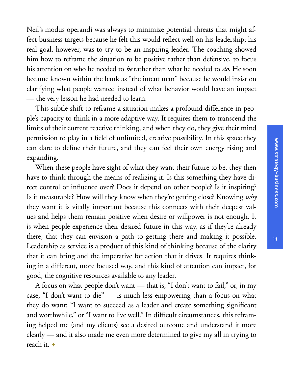Neil's modus operandi was always to minimize potential threats that might affect business targets because he felt this would reflect well on his leadership; his real goal, however, was to try to be an inspiring leader. The coaching showed him how to reframe the situation to be positive rather than defensive, to focus his attention on who he needed to *be* rather than what he needed to *do*. He soon became known within the bank as "the intent man" because he would insist on clarifying what people wanted instead of what behavior would have an impact — the very lesson he had needed to learn.

This subtle shift to reframe a situation makes a profound difference in people's capacity to think in a more adaptive way. It requires them to transcend the limits of their current reactive thinking, and when they do, they give their mind permission to play in a field of unlimited, creative possibility. In this space they can dare to define their future, and they can feel their own energy rising and expanding.

When these people have sight of what they want their future to be, they then have to think through the means of realizing it. Is this something they have direct control or influence over? Does it depend on other people? Is it inspiring? Is it measurable? How will they know when they're getting close? Knowing *why* they want it is vitally important because this connects with their deepest values and helps them remain positive when desire or willpower is not enough. It is when people experience their desired future in this way, as if they're already there, that they can envision a path to getting there and making it possible. Leadership as service is a product of this kind of thinking because of the clarity that it can bring and the imperative for action that it drives. It requires thinking in a different, more focused way, and this kind of attention can impact, for good, the cognitive resources available to any leader.

A focus on what people don't want — that is, "I don't want to fail," or, in my case, "I don't want to die" — is much less empowering than a focus on what they do want: "I want to succeed as a leader and create something significant and worthwhile," or "I want to live well." In difficult circumstances, this reframing helped me (and my clients) see a desired outcome and understand it more clearly — and it also made me even more determined to give my all in trying to reach it. +

**11**